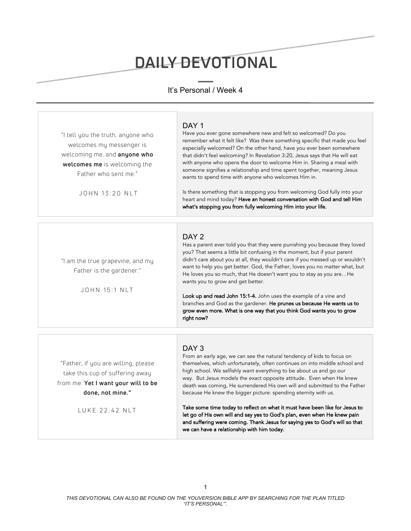# DAILY DEVOTIONAL

## It's Personal / Week 4

| "I tell you the truth, anyone who<br>welcomes my messenger is<br>welcoming me, and anyone who<br>welcomes me is welcoming the<br>Father who sent me."<br>JOHN 13:20 NLT | DAY <sub>1</sub><br>Have you ever gone somewhere new and felt so welcomed? Do you<br>remember what it felt like? Was there something specific that made you feel<br>especially welcomed? On the other hand, have you ever been somewhere<br>that didn't feel welcoming? In Revelation 3:20, Jesus says that He will eat<br>with anyone who opens the door to welcome Him in. Sharing a meal with<br>someone signifies a relationship and time spent together, meaning Jesus<br>wants to spend time with anyone who welcomes Him in.<br>Is there something that is stopping you from welcoming God fully into your<br>heart and mind today? Have an honest conversation with God and tell Him<br>what's stopping you from fully welcoming Him into your life. |
|-------------------------------------------------------------------------------------------------------------------------------------------------------------------------|--------------------------------------------------------------------------------------------------------------------------------------------------------------------------------------------------------------------------------------------------------------------------------------------------------------------------------------------------------------------------------------------------------------------------------------------------------------------------------------------------------------------------------------------------------------------------------------------------------------------------------------------------------------------------------------------------------------------------------------------------------------|
| "I am the true grapevine, and my<br>Father is the gardener."<br>$JOHN$ 15 $\cdot$ 1 NIT                                                                                 | DAY <sub>2</sub><br>Has a parent ever told you that they were punishing you because they loved<br>you? That seems a little bit confusing in the moment, but if your parent<br>didn't care about you at all, they wouldn't care if you messed up or wouldn't<br>want to help you get better. God, the Father, loves you no matter what, but<br>He loves you so much, that He doesn't want you to stay as you areHe<br>wants you to grow and get better.<br>Look up and read John 15:1-4. John uses the example of a vine and<br>branches and God as the gardener. He prunes us because He wants us to<br>grow even more. What is one way that you think God wants you to grow<br>right now?                                                                   |

"Father, if you are willing, please take this cup of suffering away from me. **Yet I want your will to be done, not mine."**

LUKE 22:42 NLT

## DAY<sub>3</sub>

From an early age, we can see the natural tendency of kids to focus on themselves, which unfortunately, often continues on into middle school and high school. We selfishly want everything to be about us and go our way. But Jesus models the exact opposite attitude. Even when He knew death was coming, He surrendered His own will and submitted to the Father because He knew the bigger picture: spending eternity with us.

Take some time today to reflect on what it must have been like for Jesus to let go of His own will and say yes to God's plan, even when He knew pain and suffering were coming. Thank Jesus for saying yes to God's will so that we can have a relationship with him today.